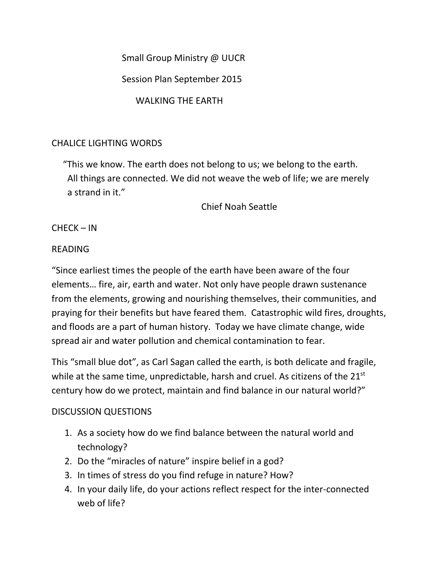Small Group Ministry @ UUCR

Session Plan September 2015

WALKING THE EARTH

# CHALICE LIGHTING WORDS

 "This we know. The earth does not belong to us; we belong to the earth. All things are connected. We did not weave the web of life; we are merely a strand in it."

Chief Noah Seattle

CHECK – IN

## READING

"Since earliest times the people of the earth have been aware of the four elements… fire, air, earth and water. Not only have people drawn sustenance from the elements, growing and nourishing themselves, their communities, and praying for their benefits but have feared them. Catastrophic wild fires, droughts, and floods are a part of human history. Today we have climate change, wide spread air and water pollution and chemical contamination to fear.

This "small blue dot", as Carl Sagan called the earth, is both delicate and fragile, while at the same time, unpredictable, harsh and cruel. As citizens of the  $21^{st}$ century how do we protect, maintain and find balance in our natural world?"

### DISCUSSION QUESTIONS

- 1. As a society how do we find balance between the natural world and technology?
- 2. Do the "miracles of nature" inspire belief in a god?
- 3. In times of stress do you find refuge in nature? How?
- 4. In your daily life, do your actions reflect respect for the inter-connected web of life?